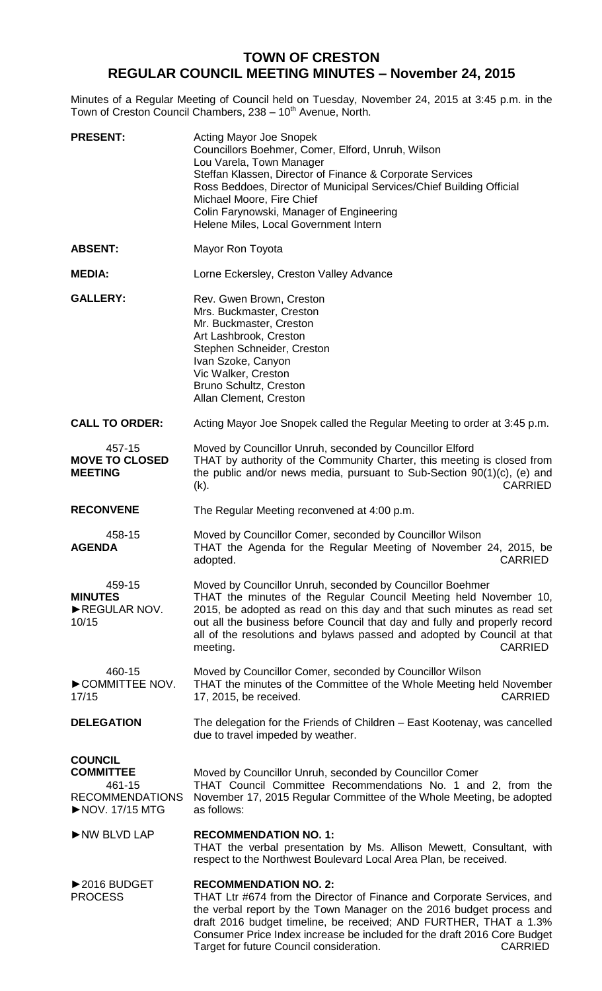## **TOWN OF CRESTON REGULAR COUNCIL MEETING MINUTES – November 24, 2015**

Minutes of a Regular Meeting of Council held on Tuesday, November 24, 2015 at 3:45 p.m. in the Town of Creston Council Chambers, 238 - 10<sup>th</sup> Avenue, North.

| <b>PRESENT:</b>                                                                          | <b>Acting Mayor Joe Snopek</b><br>Councillors Boehmer, Comer, Elford, Unruh, Wilson<br>Lou Varela, Town Manager<br>Steffan Klassen, Director of Finance & Corporate Services<br>Ross Beddoes, Director of Municipal Services/Chief Building Official<br>Michael Moore, Fire Chief<br>Colin Farynowski, Manager of Engineering<br>Helene Miles, Local Government Intern                          |
|------------------------------------------------------------------------------------------|-------------------------------------------------------------------------------------------------------------------------------------------------------------------------------------------------------------------------------------------------------------------------------------------------------------------------------------------------------------------------------------------------|
| <b>ABSENT:</b>                                                                           | Mayor Ron Toyota                                                                                                                                                                                                                                                                                                                                                                                |
| <b>MEDIA:</b>                                                                            | Lorne Eckersley, Creston Valley Advance                                                                                                                                                                                                                                                                                                                                                         |
| <b>GALLERY:</b>                                                                          | Rev. Gwen Brown, Creston<br>Mrs. Buckmaster, Creston<br>Mr. Buckmaster, Creston<br>Art Lashbrook, Creston<br>Stephen Schneider, Creston<br>Ivan Szoke, Canyon<br>Vic Walker, Creston<br>Bruno Schultz, Creston<br>Allan Clement, Creston                                                                                                                                                        |
| <b>CALL TO ORDER:</b>                                                                    | Acting Mayor Joe Snopek called the Regular Meeting to order at 3:45 p.m.                                                                                                                                                                                                                                                                                                                        |
| 457-15<br><b>MOVE TO CLOSED</b><br><b>MEETING</b>                                        | Moved by Councillor Unruh, seconded by Councillor Elford<br>THAT by authority of the Community Charter, this meeting is closed from<br>the public and/or news media, pursuant to Sub-Section 90(1)(c), (e) and<br><b>CARRIED</b><br>$(k)$ .                                                                                                                                                     |
| <b>RECONVENE</b>                                                                         | The Regular Meeting reconvened at 4:00 p.m.                                                                                                                                                                                                                                                                                                                                                     |
| 458-15<br><b>AGENDA</b>                                                                  | Moved by Councillor Comer, seconded by Councillor Wilson<br>THAT the Agenda for the Regular Meeting of November 24, 2015, be<br>adopted.<br><b>CARRIED</b>                                                                                                                                                                                                                                      |
| 459-15<br><b>MINUTES</b><br>REGULAR NOV.<br>10/15                                        | Moved by Councillor Unruh, seconded by Councillor Boehmer<br>THAT the minutes of the Regular Council Meeting held November 10,<br>2015, be adopted as read on this day and that such minutes as read set<br>out all the business before Council that day and fully and properly record<br>all of the resolutions and bylaws passed and adopted by Council at that<br><b>CARRIED</b><br>meeting. |
| 460-15<br>COMMITTEE NOV.<br>17/15                                                        | Moved by Councillor Comer, seconded by Councillor Wilson<br>THAT the minutes of the Committee of the Whole Meeting held November<br><b>CARRIED</b><br>17, 2015, be received.                                                                                                                                                                                                                    |
| <b>DELEGATION</b>                                                                        | The delegation for the Friends of Children - East Kootenay, was cancelled<br>due to travel impeded by weather.                                                                                                                                                                                                                                                                                  |
| <b>COUNCIL</b><br><b>COMMITTEE</b><br>461-15<br><b>RECOMMENDATIONS</b><br>NOV. 17/15 MTG | Moved by Councillor Unruh, seconded by Councillor Comer<br>THAT Council Committee Recommendations No. 1 and 2, from the<br>November 17, 2015 Regular Committee of the Whole Meeting, be adopted<br>as follows:                                                                                                                                                                                  |
| NW BLVD LAP                                                                              | <b>RECOMMENDATION NO. 1:</b><br>THAT the verbal presentation by Ms. Allison Mewett, Consultant, with<br>respect to the Northwest Boulevard Local Area Plan, be received.                                                                                                                                                                                                                        |
| ▶2016 BUDGET<br><b>PROCESS</b>                                                           | <b>RECOMMENDATION NO. 2:</b><br>THAT Ltr #674 from the Director of Finance and Corporate Services, and<br>the verbal report by the Town Manager on the 2016 budget process and<br>draft 2016 budget timeline, be received; AND FURTHER, THAT a 1.3%<br>Consumer Price Index increase be included for the draft 2016 Core Budget<br><b>CARRIED</b><br>Target for future Council consideration.   |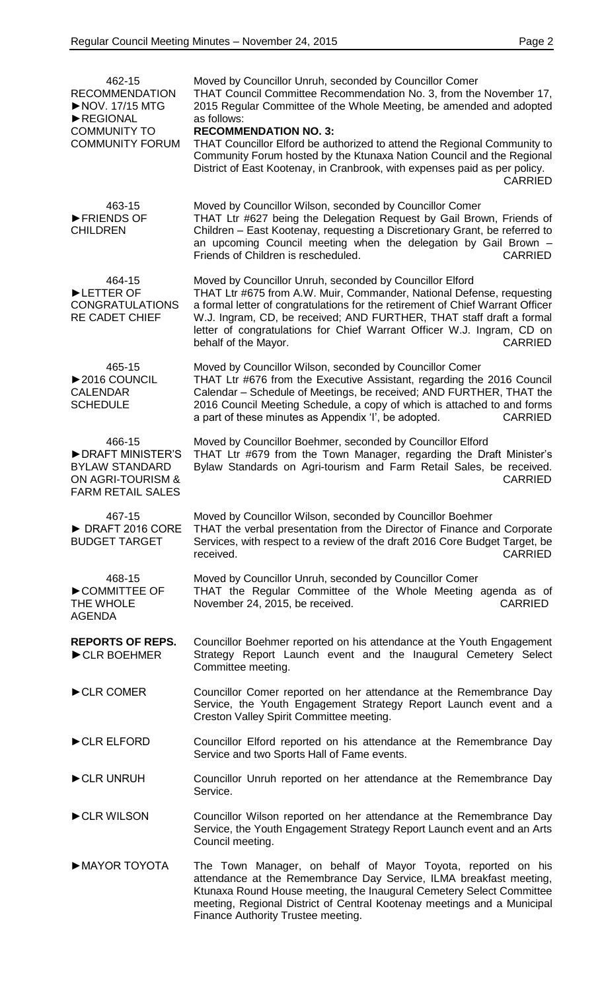| 462-15<br><b>RECOMMENDATION</b><br>NOV. 17/15 MTG<br>REGIONAL<br><b>COMMUNITY TO</b><br><b>COMMUNITY FORUM</b> | Moved by Councillor Unruh, seconded by Councillor Comer<br>THAT Council Committee Recommendation No. 3, from the November 17,<br>2015 Regular Committee of the Whole Meeting, be amended and adopted<br>as follows:<br><b>RECOMMENDATION NO. 3:</b><br>THAT Councillor Elford be authorized to attend the Regional Community to<br>Community Forum hosted by the Ktunaxa Nation Council and the Regional<br>District of East Kootenay, in Cranbrook, with expenses paid as per policy.<br><b>CARRIED</b> |
|----------------------------------------------------------------------------------------------------------------|----------------------------------------------------------------------------------------------------------------------------------------------------------------------------------------------------------------------------------------------------------------------------------------------------------------------------------------------------------------------------------------------------------------------------------------------------------------------------------------------------------|
| 463-15<br>FRIENDS OF<br><b>CHILDREN</b>                                                                        | Moved by Councillor Wilson, seconded by Councillor Comer<br>THAT Ltr #627 being the Delegation Request by Gail Brown, Friends of<br>Children - East Kootenay, requesting a Discretionary Grant, be referred to<br>an upcoming Council meeting when the delegation by Gail Brown -<br>Friends of Children is rescheduled.<br><b>CARRIED</b>                                                                                                                                                               |
| 464-15<br>LETTER OF<br><b>CONGRATULATIONS</b><br><b>RE CADET CHIEF</b>                                         | Moved by Councillor Unruh, seconded by Councillor Elford<br>THAT Ltr #675 from A.W. Muir, Commander, National Defense, requesting<br>a formal letter of congratulations for the retirement of Chief Warrant Officer<br>W.J. Ingram, CD, be received; AND FURTHER, THAT staff draft a formal<br>letter of congratulations for Chief Warrant Officer W.J. Ingram, CD on<br><b>CARRIED</b><br>behalf of the Mayor.                                                                                          |
| 465-15<br>▶ 2016 COUNCIL<br><b>CALENDAR</b><br><b>SCHEDULE</b>                                                 | Moved by Councillor Wilson, seconded by Councillor Comer<br>THAT Ltr #676 from the Executive Assistant, regarding the 2016 Council<br>Calendar - Schedule of Meetings, be received; AND FURTHER, THAT the<br>2016 Council Meeting Schedule, a copy of which is attached to and forms<br>a part of these minutes as Appendix 'I', be adopted.<br><b>CARRIED</b>                                                                                                                                           |
| 466-15<br>DRAFT MINISTER'S<br><b>BYLAW STANDARD</b><br>ON AGRI-TOURISM &<br><b>FARM RETAIL SALES</b>           | Moved by Councillor Boehmer, seconded by Councillor Elford<br>THAT Ltr #679 from the Town Manager, regarding the Draft Minister's<br>Bylaw Standards on Agri-tourism and Farm Retail Sales, be received.<br><b>CARRIED</b>                                                                                                                                                                                                                                                                               |
| 467-15<br>DRAFT 2016 CORE<br><b>BUDGET TARGET</b>                                                              | Moved by Councillor Wilson, seconded by Councillor Boehmer<br>THAT the verbal presentation from the Director of Finance and Corporate<br>Services, with respect to a review of the draft 2016 Core Budget Target, be<br>received.<br><b>CARRIED</b>                                                                                                                                                                                                                                                      |
| 468-15<br>COMMITTEE OF<br>THE WHOLE<br><b>AGENDA</b>                                                           | Moved by Councillor Unruh, seconded by Councillor Comer<br>THAT the Regular Committee of the Whole Meeting agenda as of<br>November 24, 2015, be received.<br><b>CARRIED</b>                                                                                                                                                                                                                                                                                                                             |
| <b>REPORTS OF REPS.</b><br>CLR BOEHMER                                                                         | Councillor Boehmer reported on his attendance at the Youth Engagement<br>Strategy Report Launch event and the Inaugural Cemetery Select<br>Committee meeting.                                                                                                                                                                                                                                                                                                                                            |
| CLR COMER                                                                                                      | Councillor Comer reported on her attendance at the Remembrance Day<br>Service, the Youth Engagement Strategy Report Launch event and a<br>Creston Valley Spirit Committee meeting.                                                                                                                                                                                                                                                                                                                       |
| CLR ELFORD                                                                                                     | Councillor Elford reported on his attendance at the Remembrance Day<br>Service and two Sports Hall of Fame events.                                                                                                                                                                                                                                                                                                                                                                                       |
| CLR UNRUH                                                                                                      | Councillor Unruh reported on her attendance at the Remembrance Day<br>Service.                                                                                                                                                                                                                                                                                                                                                                                                                           |
| CLR WILSON                                                                                                     | Councillor Wilson reported on her attendance at the Remembrance Day<br>Service, the Youth Engagement Strategy Report Launch event and an Arts<br>Council meeting.                                                                                                                                                                                                                                                                                                                                        |
| MAYOR TOYOTA                                                                                                   | The Town Manager, on behalf of Mayor Toyota, reported on his<br>attendance at the Remembrance Day Service, ILMA breakfast meeting,<br>Ktunaxa Round House meeting, the Inaugural Cemetery Select Committee<br>meeting, Regional District of Central Kootenay meetings and a Municipal<br>Finance Authority Trustee meeting.                                                                                                                                                                              |